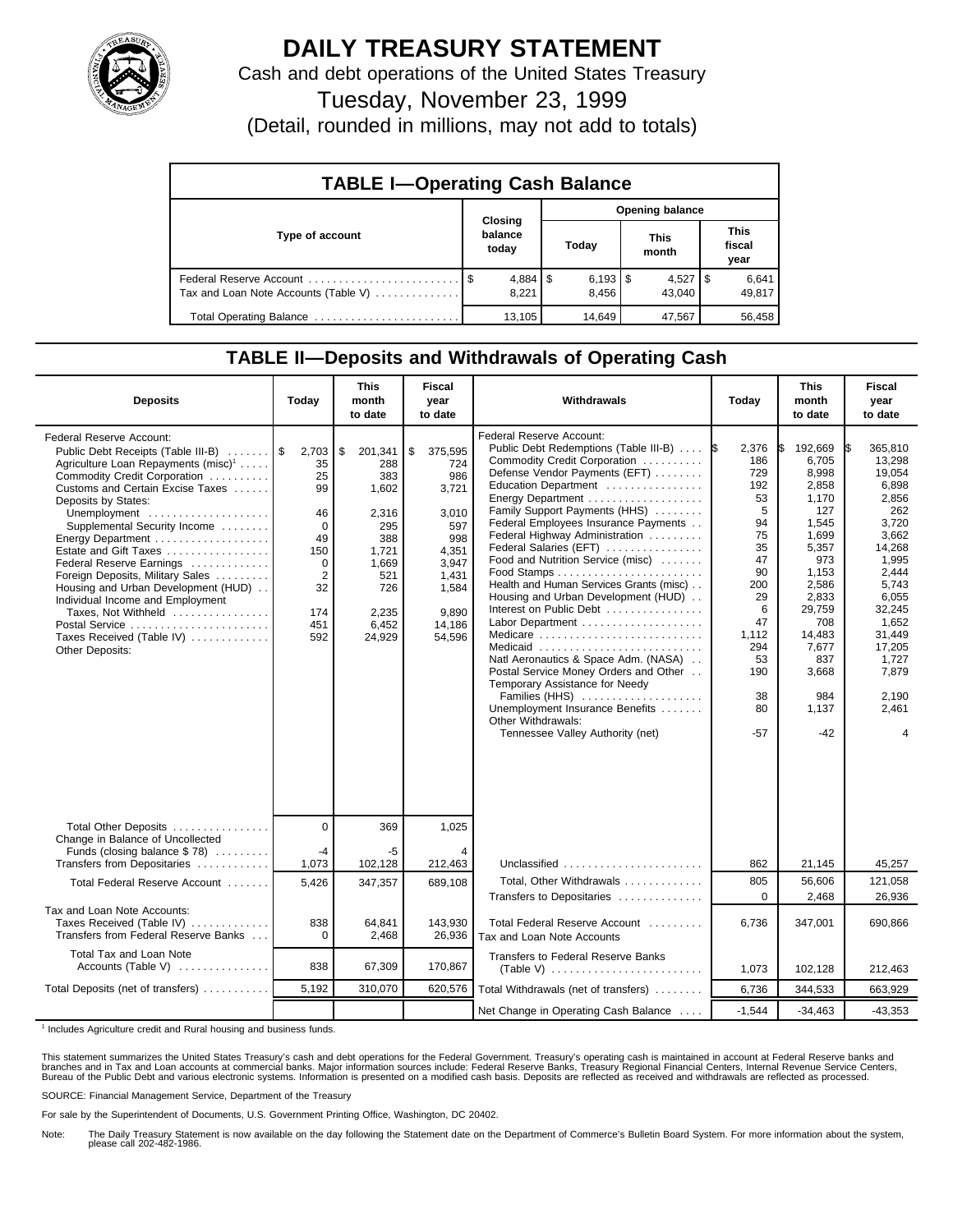

# **DAILY TREASURY STATEMENT**

Cash and debt operations of the United States Treasury

Tuesday, November 23, 1999

(Detail, rounded in millions, may not add to totals)

| <b>TABLE I-Operating Cash Balance</b> |                             |  |                       |  |                      |  |                        |  |  |  |
|---------------------------------------|-----------------------------|--|-----------------------|--|----------------------|--|------------------------|--|--|--|
|                                       |                             |  | Opening balance       |  |                      |  |                        |  |  |  |
| Type of account                       | Closing<br>balance<br>today |  | Today                 |  | <b>This</b><br>month |  | This<br>fiscal<br>year |  |  |  |
| Tax and Loan Note Accounts (Table V)  | $4,884$   \$<br>8,221       |  | $6,193$ \ \$<br>8,456 |  | $4,527$ S<br>43,040  |  | 6,641<br>49,817        |  |  |  |
| Total Operating Balance               | 13.105                      |  | 14.649                |  | 47,567               |  | 56,458                 |  |  |  |

### **TABLE II—Deposits and Withdrawals of Operating Cash**

| <b>Deposits</b>                                                                                                                                                                                                                                                                                                                                                                                                                                                                                                                                              | Today                                                                                             | <b>This</b><br>month<br>to date                                                                                         | <b>Fiscal</b><br>year<br>to date                                                                                             | Withdrawals                                                                                                                                                                                                                                                                                                                                                                                                                                                                                                                                                                                                                                                                                                                     | Today                                                                                                                                                | <b>This</b><br>month<br>to date                                                                                                                                                              | <b>Fiscal</b><br>year<br>to date                                                                                                                                                                            |
|--------------------------------------------------------------------------------------------------------------------------------------------------------------------------------------------------------------------------------------------------------------------------------------------------------------------------------------------------------------------------------------------------------------------------------------------------------------------------------------------------------------------------------------------------------------|---------------------------------------------------------------------------------------------------|-------------------------------------------------------------------------------------------------------------------------|------------------------------------------------------------------------------------------------------------------------------|---------------------------------------------------------------------------------------------------------------------------------------------------------------------------------------------------------------------------------------------------------------------------------------------------------------------------------------------------------------------------------------------------------------------------------------------------------------------------------------------------------------------------------------------------------------------------------------------------------------------------------------------------------------------------------------------------------------------------------|------------------------------------------------------------------------------------------------------------------------------------------------------|----------------------------------------------------------------------------------------------------------------------------------------------------------------------------------------------|-------------------------------------------------------------------------------------------------------------------------------------------------------------------------------------------------------------|
| <b>Federal Reserve Account:</b><br>Public Debt Receipts (Table III-B)<br>Agriculture Loan Repayments (misc) <sup>1</sup><br>Commodity Credit Corporation<br>Customs and Certain Excise Taxes<br>Deposits by States:<br>Unemployment<br>Supplemental Security Income<br>Energy Department<br>Estate and Gift Taxes<br>Federal Reserve Earnings<br>Foreign Deposits, Military Sales<br>Housing and Urban Development (HUD)<br>Individual Income and Employment<br>Taxes, Not Withheld<br>Postal Service<br>Taxes Received (Table IV)<br><b>Other Deposits:</b> | 2,703<br>35<br>25<br>99<br>46<br>0<br>49<br>150<br>0<br>$\overline{2}$<br>32<br>174<br>451<br>592 | \$<br>201,341<br>288<br>383<br>1,602<br>2,316<br>295<br>388<br>1,721<br>1,669<br>521<br>726<br>2,235<br>6,452<br>24,929 | \$<br>375,595<br>724<br>986<br>3,721<br>3,010<br>597<br>998<br>4,351<br>3,947<br>1,431<br>1,584<br>9.890<br>14,186<br>54,596 | Federal Reserve Account:<br>Public Debt Redemptions (Table III-B)<br>Commodity Credit Corporation<br>Defense Vendor Payments (EFT)<br>Education Department<br>Family Support Payments (HHS)<br>Federal Employees Insurance Payments<br>Federal Highway Administration<br>Federal Salaries (EFT)<br>Food and Nutrition Service (misc)<br>Health and Human Services Grants (misc)<br>Housing and Urban Development (HUD)<br>Interest on Public Debt<br>Labor Department<br>Medicare<br>Medicaid<br>Natl Aeronautics & Space Adm. (NASA)<br>Postal Service Money Orders and Other<br>Temporary Assistance for Needy<br>Families (HHS)<br>Unemployment Insurance Benefits<br>Other Withdrawals:<br>Tennessee Valley Authority (net) | 2,376<br>1\$<br>186<br>729<br>192<br>53<br>5<br>94<br>75<br>35<br>47<br>90<br>200<br>29<br>6<br>47<br>1,112<br>294<br>53<br>190<br>38<br>80<br>$-57$ | 192,669<br>6,705<br>8,998<br>2,858<br>1,170<br>127<br>1,545<br>1.699<br>5,357<br>973<br>1,153<br>2,586<br>2,833<br>29,759<br>708<br>14,483<br>7,677<br>837<br>3,668<br>984<br>1,137<br>$-42$ | 365.810<br>IS.<br>13,298<br>19,054<br>6,898<br>2,856<br>262<br>3,720<br>3.662<br>14,268<br>1.995<br>2.444<br>5,743<br>6,055<br>32,245<br>1,652<br>31,449<br>17,205<br>1.727<br>7,879<br>2,190<br>2,461<br>4 |
| Total Other Deposits<br>Change in Balance of Uncollected<br>Funds (closing balance $$78)$<br>Transfers from Depositaries                                                                                                                                                                                                                                                                                                                                                                                                                                     | $\Omega$<br>-4<br>1,073                                                                           | 369<br>-5<br>102,128                                                                                                    | 1,025<br>212,463                                                                                                             | Unclassified                                                                                                                                                                                                                                                                                                                                                                                                                                                                                                                                                                                                                                                                                                                    | 862                                                                                                                                                  | 21,145                                                                                                                                                                                       | 45,257                                                                                                                                                                                                      |
| Total Federal Reserve Account                                                                                                                                                                                                                                                                                                                                                                                                                                                                                                                                | 5,426                                                                                             | 347,357                                                                                                                 | 689.108                                                                                                                      | Total, Other Withdrawals                                                                                                                                                                                                                                                                                                                                                                                                                                                                                                                                                                                                                                                                                                        | 805                                                                                                                                                  | 56,606                                                                                                                                                                                       | 121,058                                                                                                                                                                                                     |
| Tax and Loan Note Accounts:                                                                                                                                                                                                                                                                                                                                                                                                                                                                                                                                  |                                                                                                   |                                                                                                                         |                                                                                                                              | Transfers to Depositaries                                                                                                                                                                                                                                                                                                                                                                                                                                                                                                                                                                                                                                                                                                       | $\Omega$                                                                                                                                             | 2,468                                                                                                                                                                                        | 26,936                                                                                                                                                                                                      |
| Taxes Received (Table IV)<br>Transfers from Federal Reserve Banks                                                                                                                                                                                                                                                                                                                                                                                                                                                                                            | 838<br>0                                                                                          | 64.841<br>2,468                                                                                                         | 143.930<br>26,936                                                                                                            | Total Federal Reserve Account<br>Tax and Loan Note Accounts                                                                                                                                                                                                                                                                                                                                                                                                                                                                                                                                                                                                                                                                     | 6.736                                                                                                                                                | 347.001                                                                                                                                                                                      | 690,866                                                                                                                                                                                                     |
| Total Tax and Loan Note<br>Accounts (Table V)                                                                                                                                                                                                                                                                                                                                                                                                                                                                                                                | 838                                                                                               | 67,309                                                                                                                  | 170.867                                                                                                                      | <b>Transfers to Federal Reserve Banks</b>                                                                                                                                                                                                                                                                                                                                                                                                                                                                                                                                                                                                                                                                                       | 1,073                                                                                                                                                | 102,128                                                                                                                                                                                      | 212,463                                                                                                                                                                                                     |
| Total Deposits (net of transfers)                                                                                                                                                                                                                                                                                                                                                                                                                                                                                                                            | 5,192                                                                                             | 310,070                                                                                                                 | 620,576                                                                                                                      | Total Withdrawals (net of transfers)                                                                                                                                                                                                                                                                                                                                                                                                                                                                                                                                                                                                                                                                                            | 6,736                                                                                                                                                | 344,533                                                                                                                                                                                      | 663,929                                                                                                                                                                                                     |
|                                                                                                                                                                                                                                                                                                                                                                                                                                                                                                                                                              |                                                                                                   |                                                                                                                         |                                                                                                                              | Net Change in Operating Cash Balance                                                                                                                                                                                                                                                                                                                                                                                                                                                                                                                                                                                                                                                                                            | $-1.544$                                                                                                                                             | $-34,463$                                                                                                                                                                                    | $-43,353$                                                                                                                                                                                                   |

<sup>1</sup> Includes Agriculture credit and Rural housing and business funds.

This statement summarizes the United States Treasury's cash and debt operations for the Federal Government. Treasury's operating cash is maintained in account at Federal Reserve banks and<br>branches and in Tax and Loan accou

SOURCE: Financial Management Service, Department of the Treasury

For sale by the Superintendent of Documents, U.S. Government Printing Office, Washington, DC 20402.

Note: The Daily Treasury Statement is now available on the day following the Statement date on the Department of Commerce's Bulletin Board System. For more information about the system, please call 202-482-1986.